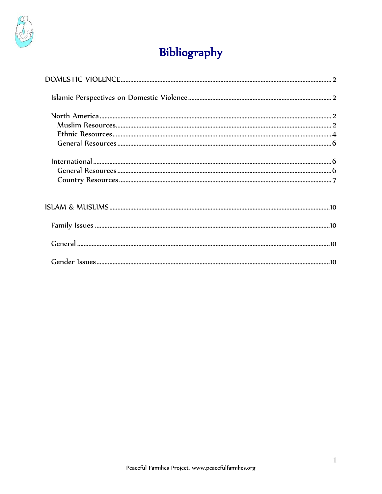

# Bibliography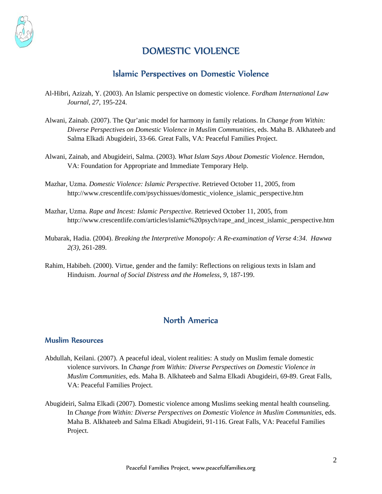<span id="page-1-0"></span>

# DOMESTIC VIOLENCE

## Islamic Perspectives on Domestic Violence

- Al-Hibri, Azizah, Y. (2003). An Islamic perspective on domestic violence. *Fordham International Law Journal*, *27*, 195-224.
- Alwani, Zainab. (2007). The Qur'anic model for harmony in family relations. In *Change from Within: Diverse Perspectives on Domestic Violence in Muslim Communities*, eds. Maha B. Alkhateeb and Salma Elkadi Abugideiri, 33-66. Great Falls, VA: Peaceful Families Project.
- Alwani, Zainab, and Abugideiri, Salma. (2003). *What Islam Says About Domestic Violence*. Herndon, VA: Foundation for Appropriate and Immediate Temporary Help.
- Mazhar, Uzma. *Domestic Violence: Islamic Perspective*. Retrieved October 11, 2005, from http://www.crescentlife.com/psychissues/domestic\_violence\_islamic\_perspective.htm
- Mazhar, Uzma. *Rape and Incest: Islamic Perspective*. Retrieved October 11, 2005, from http://www.crescentlife.com/articles/islamic%20psych/rape\_and\_incest\_islamic\_perspective.htm
- Mubarak, Hadia. (2004). *Breaking the Interpretive Monopoly: A Re-examination of Verse 4:34*. *Hawwa 2(3)*, 261-289.
- Rahim, Habibeh. (2000). Virtue, gender and the family: Reflections on religious texts in Islam and Hinduism. *Journal of Social Distress and the Homeless*, *9*, 187-199.

# North America

#### Muslim Resources

- Abdullah, Keilani. (2007). A peaceful ideal, violent realities: A study on Muslim female domestic violence survivors. In *Change from Within: Diverse Perspectives on Domestic Violence in Muslim Communities*, eds. Maha B. Alkhateeb and Salma Elkadi Abugideiri, 69-89. Great Falls, VA: Peaceful Families Project.
- Abugideiri, Salma Elkadi (2007). Domestic violence among Muslims seeking mental health counseling. In *Change from Within: Diverse Perspectives on Domestic Violence in Muslim Communities*, eds. Maha B. Alkhateeb and Salma Elkadi Abugideiri, 91-116. Great Falls, VA: Peaceful Families Project.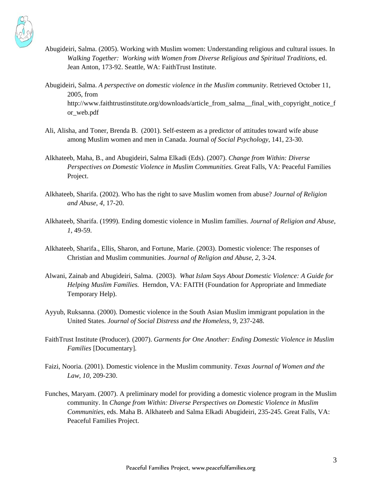

- Abugideiri, Salma. (2005). Working with Muslim women: Understanding religious and cultural issues. In *Walking Together: Working with Women from Diverse Religious and Spiritual Traditions*, ed. Jean Anton, 173-92. Seattle, WA: FaithTrust Institute.
- Abugideiri, Salma. *A perspective on domestic violence in the Muslim community*. Retrieved October 11, 2005, from http://www.faithtrustinstitute.org/downloads/article\_from\_salma\_final\_with\_copyright\_notice\_f or\_web.pdf
- Ali, Alisha, and Toner, Brenda B. (2001). Self-esteem as a predictor of attitudes toward wife abuse among Muslim women and men in Canada. Journal *of Social Psychology*, 141, 23-30.
- Alkhateeb, Maha, B., and Abugideiri, Salma Elkadi (Eds). (2007). *Change from Within: Diverse Perspectives on Domestic Violence in Muslim Communities*. Great Falls, VA: Peaceful Families Project.
- Alkhateeb, Sharifa. (2002). Who has the right to save Muslim women from abuse? *Journal of Religion and Abuse*, *4*, 17-20.
- Alkhateeb, Sharifa. (1999). Ending domestic violence in Muslim families. *Journal of Religion and Abuse*, *1*, 49-59.
- Alkhateeb, Sharifa., Ellis, Sharon, and Fortune, Marie. (2003). Domestic violence: The responses of Christian and Muslim communities. *Journal of Religion and Abuse*, *2*, 3-24.
- Alwani, Zainab and Abugideiri, Salma. (2003). *What Islam Says About Domestic Violence: A Guide for Helping Muslim Families.* Herndon, VA: FAITH (Foundation for Appropriate and Immediate Temporary Help).
- Ayyub, Ruksanna. (2000). Domestic violence in the South Asian Muslim immigrant population in the United States. *Journal of Social Distress and the Homeless*, *9*, 237-248.
- FaithTrust Institute (Producer). (2007). *Garments for One Another: Ending Domestic Violence in Muslim Families* [Documentary].
- Faizi, Nooria. (2001). Domestic violence in the Muslim community. *Texas Journal of Women and the Law*, *10*, 209-230.
- Funches, Maryam. (2007). A preliminary model for providing a domestic violence program in the Muslim community. In *Change from Within: Diverse Perspectives on Domestic Violence in Muslim Communities*, eds. Maha B. Alkhateeb and Salma Elkadi Abugideiri, 235-245. Great Falls, VA: Peaceful Families Project.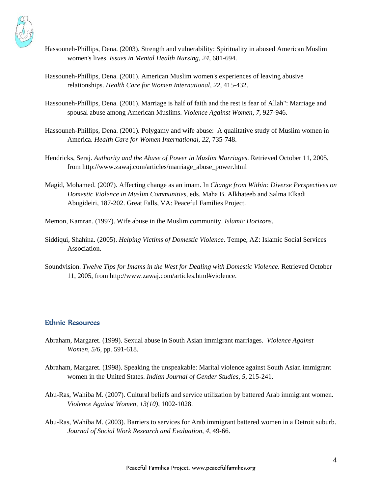<span id="page-3-0"></span>

- Hassouneh-Phillips, Dena. (2003). Strength and vulnerability: Spirituality in abused American Muslim women's lives. *Issues in Mental Health Nursing*, *24*, 681-694.
- Hassouneh-Phillips, Dena. (2001). American Muslim women's experiences of leaving abusive relationships. *Health Care for Women International*, *22*, 415-432.
- Hassouneh-Phillips, Dena. (2001). Marriage is half of faith and the rest is fear of Allah": Marriage and spousal abuse among American Muslims. *Violence Against Women*, *7*, 927-946.
- Hassouneh-Phillips, Dena. (2001). Polygamy and wife abuse: A qualitative study of Muslim women in America. *Health Care for Women International*, *22*, 735-748.
- Hendricks, Seraj. *Authority and the Abuse of Power in Muslim Marriages*. Retrieved October 11, 2005, from http://www.zawaj.com/articles/marriage\_abuse\_power.html
- Magid, Mohamed. (2007). Affecting change as an imam. In *Change from Within: Diverse Perspectives on Domestic Violence in Muslim Communities*, eds. Maha B. Alkhateeb and Salma Elkadi Abugideiri, 187-202. Great Falls, VA: Peaceful Families Project.

Memon, Kamran. (1997). Wife abuse in the Muslim community. *Islamic Horizons*.

- Siddiqui, Shahina. (2005). *Helping Victims of Domestic Violence*. Tempe, AZ: Islamic Social Services Association.
- Soundvision. *Twelve Tips for Imams in the West for Dealing with Domestic Violence*. Retrieved October 11, 2005, from http://www.zawaj.com/articles.html#violence.

#### Ethnic Resources

- Abraham, Margaret. (1999). Sexual abuse in South Asian immigrant marriages. *Violence Against Women, 5/6*, pp. 591-618.
- Abraham, Margaret. (1998). Speaking the unspeakable: Marital violence against South Asian immigrant women in the United States. *Indian Journal of Gender Studies*, *5*, 215-241.
- Abu-Ras, Wahiba M. (2007). Cultural beliefs and service utilization by battered Arab immigrant women. *Violence Against Women*, *13(10),* 1002-1028.
- Abu-Ras, Wahiba M. (2003). Barriers to services for Arab immigrant battered women in a Detroit suburb. *Journal of Social Work Research and Evaluation*, *4*, 49-66.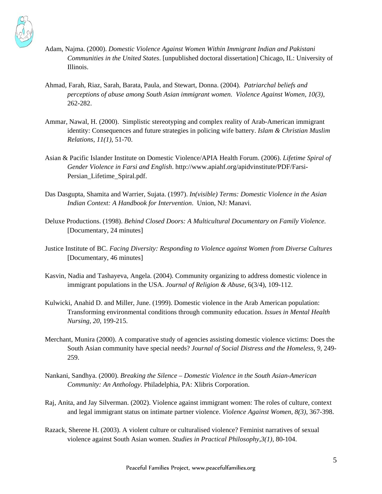

- Adam, Najma. (2000). *Domestic Violence Against Women Within Immigrant Indian and Pakistani Communities in the United States*. [unpublished doctoral dissertation] Chicago, IL: University of Illinois.
- Ahmad, Farah, Riaz, Sarah, Barata, Paula, and Stewart, Donna. (2004). *Patriarchal beliefs and perceptions of abuse among South Asian immigrant women*. *Violence Against Women, 10(3),* 262-282.
- Ammar, Nawal, H. (2000). Simplistic stereotyping and complex reality of Arab-American immigrant identity: Consequences and future strategies in policing wife battery. *Islam & Christian Muslim Relations, 11(1)*, 51-70.
- Asian & Pacific Islander Institute on Domestic Violence/APIA Health Forum. (2006). *Lifetime Spiral of Gender Violence in Farsi and English*. [http://www.apiahf.org/apidvinstitute/PDF/Farsi-](http://www.apiahf.org/apidvinstitute/PDF/Farsi-Persian_Lifetime_Spiral.pdf)[Persian\\_Lifetime\\_Spiral.pdf.](http://www.apiahf.org/apidvinstitute/PDF/Farsi-Persian_Lifetime_Spiral.pdf)
- Das Dasgupta, Shamita and Warrier, Sujata. (1997). *In(visible) Terms: Domestic Violence in the Asian Indian Context: A Handbook for Intervention*. Union, NJ: Manavi.
- Deluxe Productions. (1998). *Behind Closed Doors: A Multicultural Documentary on Family Violence.* [Documentary, 24 minutes]
- Justice Institute of BC. *Facing Diversity: Responding to Violence against Women from Diverse Cultures* [Documentary, 46 minutes]
- Kasvin, Nadia and Tashayeva, Angela. (2004). Community organizing to address domestic violence in immigrant populations in the USA. *Journal of Religion & Abuse*, 6(3/4), 109-112.
- Kulwicki, Anahid D. and Miller, June. (1999). Domestic violence in the Arab American population: Transforming environmental conditions through community education. *Issues in Mental Health Nursing, 20*, 199-215.
- Merchant, Munira (2000). A comparative study of agencies assisting domestic violence victims: Does the South Asian community have special needs? *Journal of Social Distress and the Homeless*, *9*, 249- 259.
- Nankani, Sandhya. (2000). *Breaking the Silence Domestic Violence in the South Asian-American Community: An Anthology*. Philadelphia, PA: Xlibris Corporation.
- Raj, Anita, and Jay Silverman. (2002). Violence against immigrant women: The roles of culture, context and legal immigrant status on intimate partner violence. *Violence Against Women, 8(3)*, 367-398.
- Razack, Sherene H. (2003). A violent culture or culturalised violence? Feminist narratives of sexual violence against South Asian women. *Studies in Practical Philosophy,3(1)*, 80-104.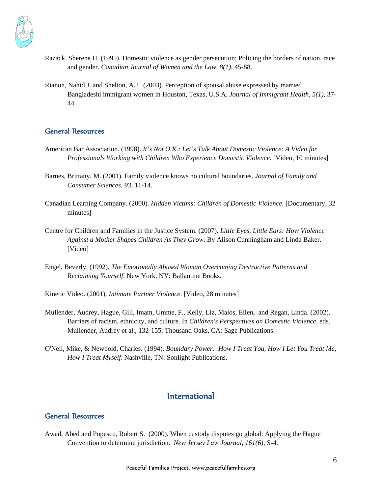<span id="page-5-0"></span>

- Razack, Sherene H. (1995). Domestic violence as gender persecution: Policing the borders of nation, race and gender. *Canadian Journal of Women and the Law, 8(1)*, 45-88.
- Rianon, Nahid J. and Shelton, A.J. (2003). Perception of spousal abuse expressed by married Bangladeshi immigrant women in Houston, Texas, U.S.A*. Journal of Immigrant Health, 5(1),* 37- 44.

### General Resources

- American Bar Association. (1998). *It's Not O.K.: Let's Talk About Domestic Violence: A Video for Professionals Working with Children Who Experience Domestic Violence.* [Video, 10 minutes]
- Barnes, Brittany, M. (2001). Family violence knows no cultural boundaries. *Journal of Family and Consumer Sciences*, *93*, 11-14.
- Canadian Learning Company. (2000). *Hidden Victims: Children of Domestic Violence.* [Documentary, 32 minutes]
- Centre for Children and Families in the Justice System. (2007). *Little Eyes, Little Ears: How Violence Against a Mother Shapes Children As They Grow*. By Alison Cunningham and Linda Baker. [Video]
- Engel, Beverly. (1992). *The Emotionally Abused Woman Overcoming Destructive Patterns and Reclaiming Yourself*. New York, NY: Ballantine Books.
- Kinetic Video. (2001). *Intimate Partner Violence*. [Video, 28 minutes]
- Mullender, Audrey, Hague, Gill, Imam, Umme, F., Kelly, Liz, Malos, Ellen, and Regan, Linda. (2002). Barriers of racism, ethnicity, and culture. In *Children's Perspectives on Domestic Violence*, eds. Mullender, Audrey et al., 132-155. Thousand Oaks, CA: Sage Publications.
- O'Neil, Mike, & Newbold, Charles. (1994). *Boundary Power: How I Treat You, How I Let You Treat Me, How I Treat Myself*. Nashville, TN: Sonlight Publications.

## International

## General Resources

Awad, Abed and Popescu, Robert S. (2000). When custody disputes go global: Applying the Hague Convention to determine jurisdiction. *New Jersey Law Journal, 161(6),* S-4.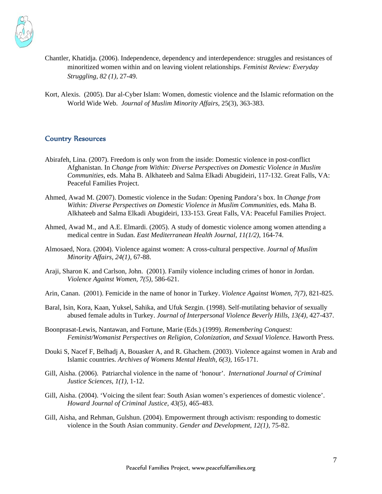<span id="page-6-0"></span>

- Chantler, Khatidja. (2006). Independence, dependency and interdependence: struggles and resistances of minoritized women within and on leaving violent relationships. *Feminist Review: Everyday Struggling*, *82 (1),* 27-49.
- Kort, Alexis. (2005). Dar al-Cyber Islam: Women, domestic violence and the Islamic reformation on the World Wide Web. *Journal of Muslim Minority Affairs*, 25(3), 363-383.

#### Country Resources

- Abirafeh, Lina. (2007). Freedom is only won from the inside: Domestic violence in post-conflict Afghanistan. In *Change from Within: Diverse Perspectives on Domestic Violence in Muslim Communities*, eds. Maha B. Alkhateeb and Salma Elkadi Abugideiri, 117-132. Great Falls, VA: Peaceful Families Project.
- Ahmed, Awad M. (2007). Domestic violence in the Sudan: Opening Pandora's box. In *Change from Within: Diverse Perspectives on Domestic Violence in Muslim Communities*, eds. Maha B. Alkhateeb and Salma Elkadi Abugideiri, 133-153. Great Falls, VA: Peaceful Families Project.
- Ahmed, Awad M., and A.E. Elmardi. (2005). A study of domestic violence among women attending a medical centre in Sudan. *East Mediterranean Health Journal, 11(1/2)*, 164-74.
- Almosaed, Nora. (2004). Violence against women: A cross-cultural perspective. *Journal of Muslim Minority Affairs, 24(1)*, 67-88.
- Araji, Sharon K. and Carlson, John. (2001). Family violence including crimes of honor in Jordan. *Violence Against Women, 7(5),* 586-621.
- Arin, Canan. (2001). Femicide in the name of honor in Turkey. *Violence Against Women, 7(7)*, 821-825.
- Baral, Isin, Kora, Kaan, Yuksel, Sahika, and Ufuk Sezgin. (1998). Self-mutilating behavior of sexually abused female adults in Turkey. *Journal of Interpersonal Violence Beverly Hills, 13(4),* 427-437.
- Boonprasat-Lewis, Nantawan, and Fortune, Marie (Eds.) (1999). *Remembering Conquest: Feminist/Womanist Perspectives on Religion, Colonization, and Sexual Violence.* Haworth Press.
- [Douki S, Nacef F, Belhadj A, Bouasker A, and R. Ghachem.](http://www.ncbi.nlm.nih.gov/entrez/query.fcgi?db=pubmed&cmd=Retrieve&dopt=AbstractPlus&list_uids=12920614&query_hl=3&itool=pubmed_docsum) (2003). Violence against women in Arab and Islamic countries. *Archives of Womens Mental Health, 6(3),* 165-171.
- Gill, Aisha. (2006). Patriarchal violence in the name of 'honour'. *International Journal of Criminal Justice Sciences, 1(1),* 1-12.
- Gill, Aisha. (2004). 'Voicing the silent fear: South Asian women's experiences of domestic violence'. *Howard Journal of Criminal Justice, 43(5),* 465-483.
- Gill, Aisha, and Rehman, Gulshun. (2004). Empowerment through activism: responding to domestic violence in the South Asian community. *Gender and Development, 12(1),* 75-82.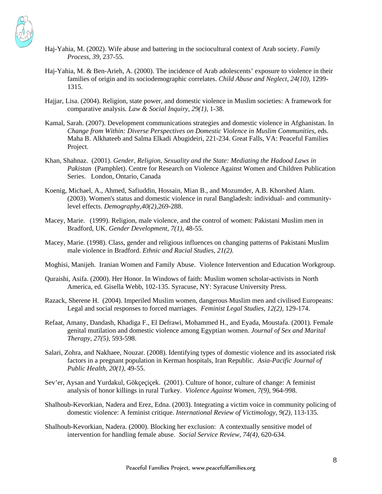

- Haj-Yahia, M. (2002). Wife abuse and battering in the sociocultural context of Arab society. *Family Process, 39,* 237-55.
- Haj-Yahia, M. & Ben-Arieh, A. (2000). The incidence of Arab adolescents' exposure to violence in their families of origin and its sociodemographic correlates. *Child Abuse and Neglect, 24(10),* 1299- 1315.
- Hajjar, Lisa. (2004). Religion, state power, and domestic violence in Muslim societies: A framework for comparative analysis*. Law & Social Inquiry, 29(1),* 1-38.
- Kamal, Sarah. (2007). Development communications strategies and domestic violence in Afghanistan. In *Change from Within: Diverse Perspectives on Domestic Violence in Muslim Communities*, eds. Maha B. Alkhateeb and Salma Elkadi Abugideiri, 221-234. Great Falls, VA: Peaceful Families Project.
- Khan, Shahnaz. (2001). *Gender, Religion, Sexuality and the State: Mediating the Hadood Laws in Pakistan* (Pamphlet). Centre for Research on Violence Against Women and Children Publication Series. London, Ontario, Canada
- [Koenig, Michael, A., Ahmed, Safiuddin, Hossain, Mian B., and Mozumder, A.B. Khorshed Alam](http://www.ncbi.nlm.nih.gov/entrez/query.fcgi?db=pubmed&cmd=Retrieve&dopt=AbstractPlus&list_uids=12846132&query_hl=3&itool=pubmed_docsum). (2003). Women's status and domestic violence in rural Bangladesh: individual- and communitylevel effects. *Demography,40(2),*269-288.
- [Macey, Marie.](http://www.ncbi.nlm.nih.gov/entrez/query.fcgi?db=pubmed&cmd=Retrieve&dopt=AbstractPlus&list_uids=12295341&query_hl=3&itool=pubmed_docsum) (1999). Religion, male violence, and the control of women: Pakistani Muslim men in Bradford, UK. *Gender Development, 7(1),* 48-55.
- Macey, Marie. (1998). Class, gender and religious influences on changing patterns of Pakistani Muslim male violence in Bradford. *Ethnic and Racial Studies, 21(2).*
- Moghisi, Manijeh. Iranian Women and Family Abuse. Violence Intervention and Education Workgroup.
- Quraishi, Asifa. (2000). Her Honor. In Windows of faith: Muslim women scholar-activists in North America, ed. Gisella Webb, 102-135. Syracuse, NY: Syracuse University Press.
- Razack, Sherene H. (2004). Imperiled Muslim women, dangerous Muslim men and civilised Europeans: Legal and social responses to forced marriages. *Feminist Legal Studies*, *12(2),* 129-174.
- Refaat, Amany, Dandash, Khadiga F., El Defrawi, Mohammed H., and Eyada, Moustafa. (2001). Female genital mutilation and domestic violence among Egyptian women. *[Journal of Sex and Marital](http://www.ingentaconnect.com/content/routledg/usmt;jsessionid=9xd4jsu98h.victoria)  [Therapy,](http://www.ingentaconnect.com/content/routledg/usmt;jsessionid=9xd4jsu98h.victoria) 27(5),* 593-598.
- Salari, Zohra, and Nakhaee, Nouzar. (2008). Identifying types of domestic violence and its associated risk factors in a pregnant population in Kerman hospitals, Iran Republic. *Asia-Pacific Journal of Public Health, 20(1),* 49-55.
- Sev'er, Aysan and Yurdakul, Gökçeçiçek. (2001). Culture of honor, culture of change: A feminist analysis of honor killings in rural Turkey. *Violence Against Women, 7(9)*, 964-998.
- Shalhoub-Kevorkian, Nadera and Erez, Edna. (2003). Integrating a victim voice in community policing of domestic violence: A feminist critique. *International Review of Victimology, 9(2),* 113-135.
- Shalhoub-Kevorkian, Nadera. (2000). Blocking her exclusion: A contextually sensitive model of intervention for handling female abuse. *Social Service Review, 74(4),* 620-634.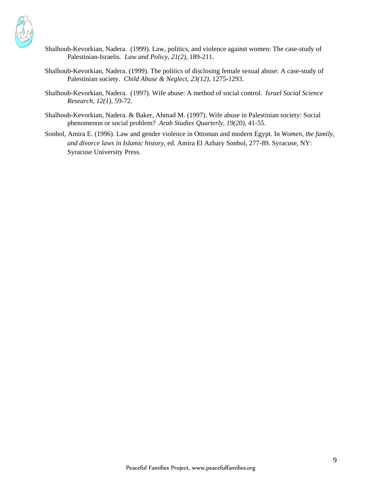

- Shalhoub-Kevorkian, Nadera. (1999). Law, politics, and violence against women: The case-study of Palestinian-Israelis*. Law and Policy, 21(2),* 189-211.
- Shalhoub-Kevorkian, Nadera. (1999). The politics of disclosing female sexual abuse: A case-study of Palestinian society. *Child Abuse & Neglect, 23(12),* 1275-1293.
- Shalhoub-Kevorkian, Nadera. (1997). Wife abuse: A method of social control. *Israel Social Science Research, 12(1),* 59-72.
- Shalhoub-Kevorkian, Nadera. & Baker, Ahmad M. (1997). Wife abuse in Palestinian society: Social phenomenon or social problem? *Arab Studies Quarterly, 19(20),* 41-55.
- Sonbol, Amira E. (1996). Law and gender violence in Ottoman and modern Egypt. In *Women, the family, and divorce laws in Islamic history*, ed. Amira El Azhary Sonbol, 277-89. Syracuse, NY: Syracuse University Press.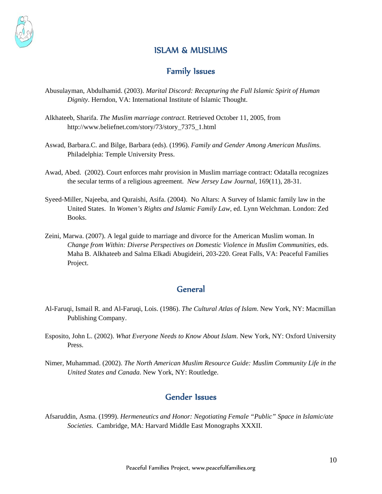<span id="page-9-0"></span>

# ISLAM & MUSLIMS

## Family Issues

- Abusulayman, Abdulhamid. (2003). *Marital Discord: Recapturing the Full Islamic Spirit of Human Dignity*. Herndon, VA: International Institute of Islamic Thought.
- Alkhateeb, Sharifa. *The Muslim marriage contract*. Retrieved October 11, 2005, from http://www.beliefnet.com/story/73/story\_7375\_1.html
- Aswad, Barbara.C. and Bilge, Barbara (eds). (1996). *Family and Gender Among American Muslims.*  Philadelphia: Temple University Press.
- Awad, Abed. (2002). Court enforces mahr provision in Muslim marriage contract: Odatalla recognizes the secular terms of a religious agreement. *New Jersey Law Journal*, 169(11), 28-31.
- Syeed-Miller, Najeeba, and Quraishi, Asifa. (2004). No Altars: A Survey of Islamic family law in the United States. In *Women's Rights and Islamic Family Law*, ed. Lynn Welchman. London: Zed Books.
- Zeini, Marwa. (2007). A legal guide to marriage and divorce for the American Muslim woman. In *Change from Within: Diverse Perspectives on Domestic Violence in Muslim Communities*, eds. Maha B. Alkhateeb and Salma Elkadi Abugideiri, 203-220. Great Falls, VA: Peaceful Families Project.

## **General**

- Al-Faruqi, Ismail R. and Al-Faruqi, Lois. (1986). *The Cultural Atlas of Islam*. New York, NY: Macmillan Publishing Company.
- Esposito, John L. (2002). *What Everyone Needs to Know About Islam*. New York, NY: Oxford University Press.
- Nimer, Muhammad. (2002). *The North American Muslim Resource Guide: Muslim Community Life in the United States and Canada*. New York, NY: Routledge.

# Gender Issues

Afsaruddin, Asma. (1999). *Hermeneutics and Honor: Negotiating Female "Public" Space in Islamic/ate Societies.* Cambridge, MA: Harvard Middle East Monographs XXXII.